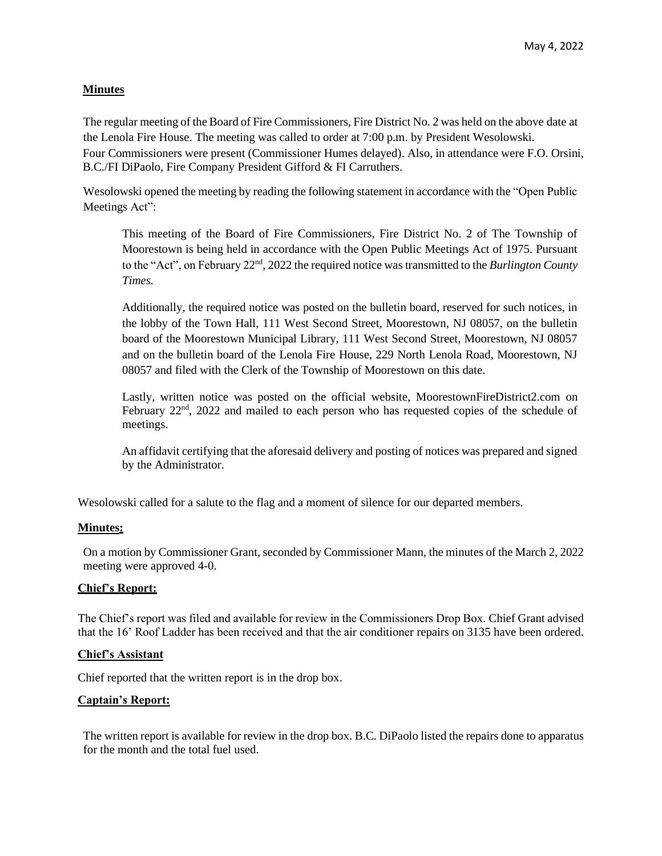## **Minutes**

The regular meeting of the Board of Fire Commissioners, Fire District No. 2 was held on the above date at the Lenola Fire House. The meeting was called to order at 7:00 p.m. by President Wesolowski. Four Commissioners were present (Commissioner Humes delayed). Also, in attendance were F.O. Orsini, B.C./FI DiPaolo, Fire Company President Gifford & FI Carruthers.

Wesolowski opened the meeting by reading the following statement in accordance with the "Open Public Meetings Act":

This meeting of the Board of Fire Commissioners, Fire District No. 2 of The Township of Moorestown is being held in accordance with the Open Public Meetings Act of 1975. Pursuant to the "Act", on February 22<sup>nd</sup>, 2022 the required notice was transmitted to the *Burlington County Times.*

Additionally, the required notice was posted on the bulletin board, reserved for such notices, in the lobby of the Town Hall, 111 West Second Street, Moorestown, NJ 08057, on the bulletin board of the Moorestown Municipal Library, 111 West Second Street, Moorestown, NJ 08057 and on the bulletin board of the Lenola Fire House, 229 North Lenola Road, Moorestown, NJ 08057 and filed with the Clerk of the Township of Moorestown on this date.

Lastly, written notice was posted on the official website, MoorestownFireDistrict2.com on February 22<sup>nd</sup>, 2022 and mailed to each person who has requested copies of the schedule of meetings.

An affidavit certifying that the aforesaid delivery and posting of notices was prepared and signed by the Administrator.

Wesolowski called for a salute to the flag and a moment of silence for our departed members.

#### **Minutes:**

On a motion by Commissioner Grant, seconded by Commissioner Mann, the minutes of the March 2, 2022 meeting were approved 4-0.

#### **Chief's Report:**

The Chief's report was filed and available for review in the Commissioners Drop Box. Chief Grant advised that the 16' Roof Ladder has been received and that the air conditioner repairs on 3135 have been ordered.

#### **Chief's Assistant**

Chief reported that the written report is in the drop box.

#### **Captain's Report:**

The written report is available for review in the drop box. B.C. DiPaolo listed the repairs done to apparatus for the month and the total fuel used.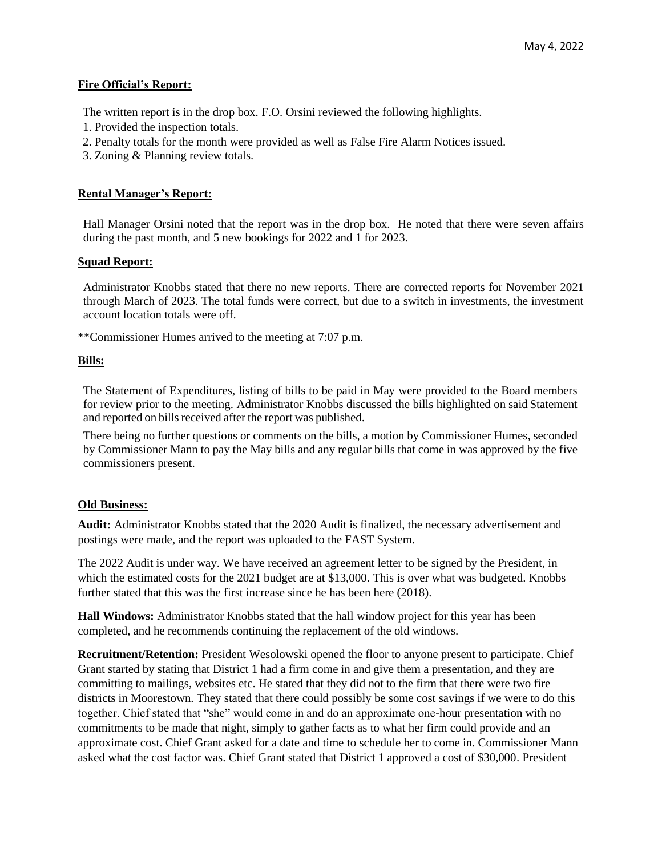#### **Fire Official's Report:**

The written report is in the drop box. F.O. Orsini reviewed the following highlights.

- 1. Provided the inspection totals.
- 2. Penalty totals for the month were provided as well as False Fire Alarm Notices issued.
- 3. Zoning & Planning review totals.

## **Rental Manager's Report:**

Hall Manager Orsini noted that the report was in the drop box. He noted that there were seven affairs during the past month, and 5 new bookings for 2022 and 1 for 2023.

## **Squad Report:**

Administrator Knobbs stated that there no new reports. There are corrected reports for November 2021 through March of 2023. The total funds were correct, but due to a switch in investments, the investment account location totals were off.

\*\*Commissioner Humes arrived to the meeting at 7:07 p.m.

## **Bills:**

The Statement of Expenditures, listing of bills to be paid in May were provided to the Board members for review prior to the meeting. Administrator Knobbs discussed the bills highlighted on said Statement and reported on bills received after the report was published.

There being no further questions or comments on the bills, a motion by Commissioner Humes, seconded by Commissioner Mann to pay the May bills and any regular bills that come in was approved by the five commissioners present.

# **Old Business:**

**Audit:** Administrator Knobbs stated that the 2020 Audit is finalized, the necessary advertisement and postings were made, and the report was uploaded to the FAST System.

The 2022 Audit is under way. We have received an agreement letter to be signed by the President, in which the estimated costs for the 2021 budget are at \$13,000. This is over what was budgeted. Knobbs further stated that this was the first increase since he has been here (2018).

**Hall Windows:** Administrator Knobbs stated that the hall window project for this year has been completed, and he recommends continuing the replacement of the old windows.

**Recruitment/Retention:** President Wesolowski opened the floor to anyone present to participate. Chief Grant started by stating that District 1 had a firm come in and give them a presentation, and they are committing to mailings, websites etc. He stated that they did not to the firm that there were two fire districts in Moorestown. They stated that there could possibly be some cost savings if we were to do this together. Chief stated that "she" would come in and do an approximate one-hour presentation with no commitments to be made that night, simply to gather facts as to what her firm could provide and an approximate cost. Chief Grant asked for a date and time to schedule her to come in. Commissioner Mann asked what the cost factor was. Chief Grant stated that District 1 approved a cost of \$30,000. President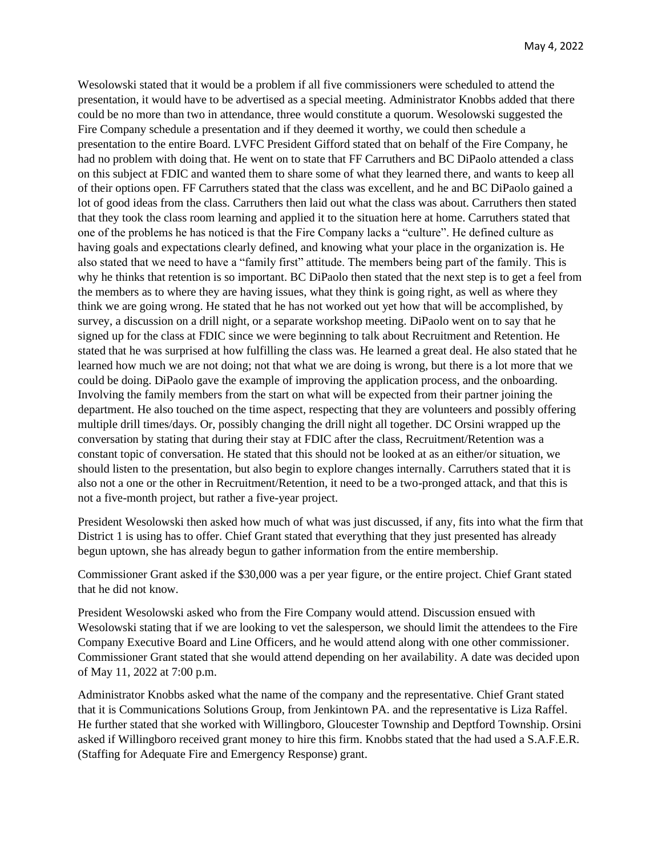Wesolowski stated that it would be a problem if all five commissioners were scheduled to attend the presentation, it would have to be advertised as a special meeting. Administrator Knobbs added that there could be no more than two in attendance, three would constitute a quorum. Wesolowski suggested the Fire Company schedule a presentation and if they deemed it worthy, we could then schedule a presentation to the entire Board. LVFC President Gifford stated that on behalf of the Fire Company, he had no problem with doing that. He went on to state that FF Carruthers and BC DiPaolo attended a class on this subject at FDIC and wanted them to share some of what they learned there, and wants to keep all of their options open. FF Carruthers stated that the class was excellent, and he and BC DiPaolo gained a lot of good ideas from the class. Carruthers then laid out what the class was about. Carruthers then stated that they took the class room learning and applied it to the situation here at home. Carruthers stated that one of the problems he has noticed is that the Fire Company lacks a "culture". He defined culture as having goals and expectations clearly defined, and knowing what your place in the organization is. He also stated that we need to have a "family first" attitude. The members being part of the family. This is why he thinks that retention is so important. BC DiPaolo then stated that the next step is to get a feel from the members as to where they are having issues, what they think is going right, as well as where they think we are going wrong. He stated that he has not worked out yet how that will be accomplished, by survey, a discussion on a drill night, or a separate workshop meeting. DiPaolo went on to say that he signed up for the class at FDIC since we were beginning to talk about Recruitment and Retention. He stated that he was surprised at how fulfilling the class was. He learned a great deal. He also stated that he learned how much we are not doing; not that what we are doing is wrong, but there is a lot more that we could be doing. DiPaolo gave the example of improving the application process, and the onboarding. Involving the family members from the start on what will be expected from their partner joining the department. He also touched on the time aspect, respecting that they are volunteers and possibly offering multiple drill times/days. Or, possibly changing the drill night all together. DC Orsini wrapped up the conversation by stating that during their stay at FDIC after the class, Recruitment/Retention was a constant topic of conversation. He stated that this should not be looked at as an either/or situation, we should listen to the presentation, but also begin to explore changes internally. Carruthers stated that it is also not a one or the other in Recruitment/Retention, it need to be a two-pronged attack, and that this is not a five-month project, but rather a five-year project.

President Wesolowski then asked how much of what was just discussed, if any, fits into what the firm that District 1 is using has to offer. Chief Grant stated that everything that they just presented has already begun uptown, she has already begun to gather information from the entire membership.

Commissioner Grant asked if the \$30,000 was a per year figure, or the entire project. Chief Grant stated that he did not know.

President Wesolowski asked who from the Fire Company would attend. Discussion ensued with Wesolowski stating that if we are looking to vet the salesperson, we should limit the attendees to the Fire Company Executive Board and Line Officers, and he would attend along with one other commissioner. Commissioner Grant stated that she would attend depending on her availability. A date was decided upon of May 11, 2022 at 7:00 p.m.

Administrator Knobbs asked what the name of the company and the representative. Chief Grant stated that it is Communications Solutions Group, from Jenkintown PA. and the representative is Liza Raffel. He further stated that she worked with Willingboro, Gloucester Township and Deptford Township. Orsini asked if Willingboro received grant money to hire this firm. Knobbs stated that the had used a S.A.F.E.R. (Staffing for Adequate Fire and Emergency Response) grant.